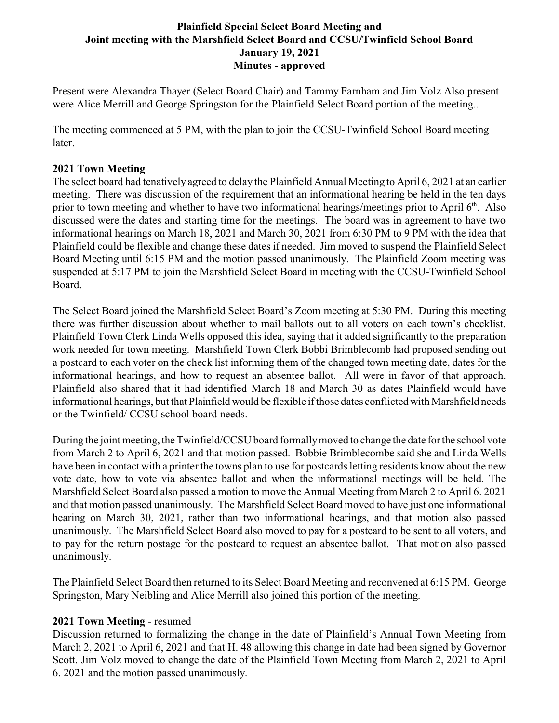## **Plainfield Special Select Board Meeting and Joint meeting with the Marshfield Select Board and CCSU/Twinfield School Board January 19, 2021 Minutes - approved**

Present were Alexandra Thayer (Select Board Chair) and Tammy Farnham and Jim Volz Also present were Alice Merrill and George Springston for the Plainfield Select Board portion of the meeting..

The meeting commenced at 5 PM, with the plan to join the CCSU-Twinfield School Board meeting later.

## **2021 Town Meeting**

The select board had tenatively agreed to delay the Plainfield Annual Meeting to April 6, 2021 at an earlier meeting. There was discussion of the requirement that an informational hearing be held in the ten days prior to town meeting and whether to have two informational hearings/meetings prior to April 6<sup>th</sup>. Also discussed were the dates and starting time for the meetings. The board was in agreement to have two informational hearings on March 18, 2021 and March 30, 2021 from 6:30 PM to 9 PM with the idea that Plainfield could be flexible and change these dates if needed. Jim moved to suspend the Plainfield Select Board Meeting until 6:15 PM and the motion passed unanimously. The Plainfield Zoom meeting was suspended at 5:17 PM to join the Marshfield Select Board in meeting with the CCSU-Twinfield School Board.

The Select Board joined the Marshfield Select Board's Zoom meeting at 5:30 PM. During this meeting there was further discussion about whether to mail ballots out to all voters on each town's checklist. Plainfield Town Clerk Linda Wells opposed this idea, saying that it added significantly to the preparation work needed for town meeting. Marshfield Town Clerk Bobbi Brimblecomb had proposed sending out a postcard to each voter on the check list informing them of the changed town meeting date, dates for the informational hearings, and how to request an absentee ballot. All were in favor of that approach. Plainfield also shared that it had identified March 18 and March 30 as dates Plainfield would have informational hearings, but that Plainfieldwould be flexible if those dates conflicted with Marshfield needs or the Twinfield/ CCSU school board needs.

During the joint meeting, the Twinfield/CCSU board formallymoved to change the date for the school vote from March 2 to April 6, 2021 and that motion passed. Bobbie Brimblecombe said she and Linda Wells have been in contact with a printer the towns plan to use for postcards letting residents know about the new vote date, how to vote via absentee ballot and when the informational meetings will be held. The Marshfield Select Board also passed a motion to move the Annual Meeting from March 2 to April 6. 2021 and that motion passed unanimously. The Marshfield Select Board moved to have just one informational hearing on March 30, 2021, rather than two informational hearings, and that motion also passed unanimously. The Marshfield Select Board also moved to pay for a postcard to be sent to all voters, and to pay for the return postage for the postcard to request an absentee ballot. That motion also passed unanimously.

The Plainfield Select Board then returned to its Select Board Meeting and reconvened at 6:15 PM. George Springston, Mary Neibling and Alice Merrill also joined this portion of the meeting.

## **2021 Town Meeting** - resumed

Discussion returned to formalizing the change in the date of Plainfield's Annual Town Meeting from March 2, 2021 to April 6, 2021 and that H. 48 allowing this change in date had been signed by Governor Scott. Jim Volz moved to change the date of the Plainfield Town Meeting from March 2, 2021 to April 6. 2021 and the motion passed unanimously.